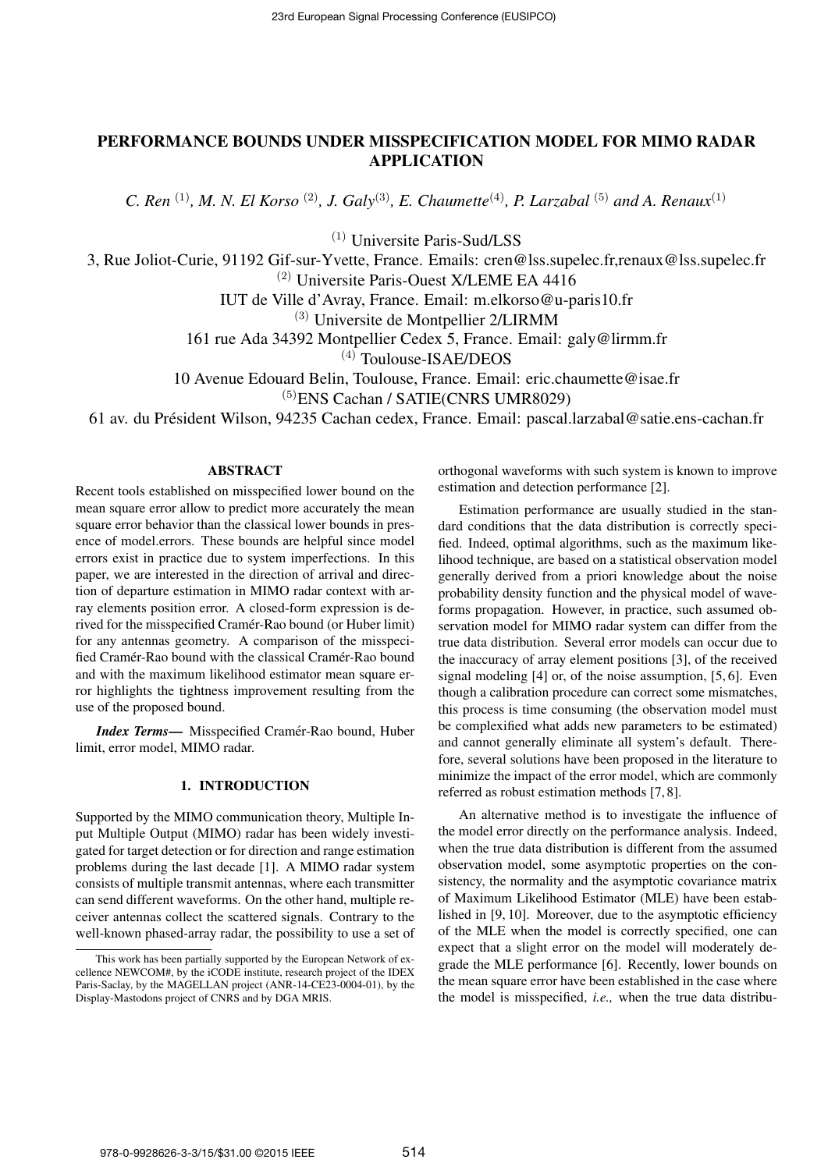# PERFORMANCE BOUNDS UNDER MISSPECIFICATION MODEL FOR MIMO RADAR APPLICATION

*C. Ren* <sup>(1)</sup>, *M. N. El Korso* <sup>(2)</sup>, *J. Galy*<sup>(3)</sup>, *E. Chaumette*<sup>(4)</sup>, *P. Larzabal* <sup>(5)</sup> *and A. Renaux*<sup>(1)</sup>

(1) Universite Paris-Sud/LSS

3, Rue Joliot-Curie, 91192 Gif-sur-Yvette, France. Emails: cren@lss.supelec.fr,renaux@lss.supelec.fr

 $(2)$  Universite Paris-Ouest X/LEME EA 4416

IUT de Ville d'Avray, France. Email: m.elkorso@u-paris10.fr

(3) Universite de Montpellier 2/LIRMM

161 rue Ada 34392 Montpellier Cedex 5, France. Email: galy@lirmm.fr

(4) Toulouse-ISAE/DEOS

10 Avenue Edouard Belin, Toulouse, France. Email: eric.chaumette@isae.fr (5)ENS Cachan / SATIE(CNRS UMR8029)

61 av. du President Wilson, 94235 Cachan cedex, France. Email: pascal.larzabal@satie.ens-cachan.fr ´

# ABSTRACT

Recent tools established on misspecified lower bound on the mean square error allow to predict more accurately the mean square error behavior than the classical lower bounds in presence of model.errors. These bounds are helpful since model errors exist in practice due to system imperfections. In this paper, we are interested in the direction of arrival and direction of departure estimation in MIMO radar context with array elements position error. A closed-form expression is derived for the misspecified Cramer-Rao bound (or Huber limit) ´ for any antennas geometry. A comparison of the misspecified Cramér-Rao bound with the classical Cramér-Rao bound and with the maximum likelihood estimator mean square error highlights the tightness improvement resulting from the use of the proposed bound.

*Index Terms*— Misspecified Cramér-Rao bound, Huber limit, error model, MIMO radar.

# 1. INTRODUCTION

Supported by the MIMO communication theory, Multiple Input Multiple Output (MIMO) radar has been widely investigated for target detection or for direction and range estimation problems during the last decade [1]. A MIMO radar system consists of multiple transmit antennas, where each transmitter can send different waveforms. On the other hand, multiple receiver antennas collect the scattered signals. Contrary to the well-known phased-array radar, the possibility to use a set of orthogonal waveforms with such system is known to improve estimation and detection performance [2].

Estimation performance are usually studied in the standard conditions that the data distribution is correctly specified. Indeed, optimal algorithms, such as the maximum likelihood technique, are based on a statistical observation model generally derived from a priori knowledge about the noise probability density function and the physical model of waveforms propagation. However, in practice, such assumed observation model for MIMO radar system can differ from the true data distribution. Several error models can occur due to the inaccuracy of array element positions [3], of the received signal modeling [4] or, of the noise assumption, [5, 6]. Even though a calibration procedure can correct some mismatches, this process is time consuming (the observation model must be complexified what adds new parameters to be estimated) and cannot generally eliminate all system's default. Therefore, several solutions have been proposed in the literature to minimize the impact of the error model, which are commonly referred as robust estimation methods [7, 8].

An alternative method is to investigate the influence of the model error directly on the performance analysis. Indeed, when the true data distribution is different from the assumed observation model, some asymptotic properties on the consistency, the normality and the asymptotic covariance matrix of Maximum Likelihood Estimator (MLE) have been established in [9, 10]. Moreover, due to the asymptotic efficiency of the MLE when the model is correctly specified, one can expect that a slight error on the model will moderately degrade the MLE performance [6]. Recently, lower bounds on the mean square error have been established in the case where the model is misspecified, *i.e.,* when the true data distribu-

This work has been partially supported by the European Network of excellence NEWCOM#, by the iCODE institute, research project of the IDEX Paris-Saclay, by the MAGELLAN project (ANR-14-CE23-0004-01), by the Display-Mastodons project of CNRS and by DGA MRIS.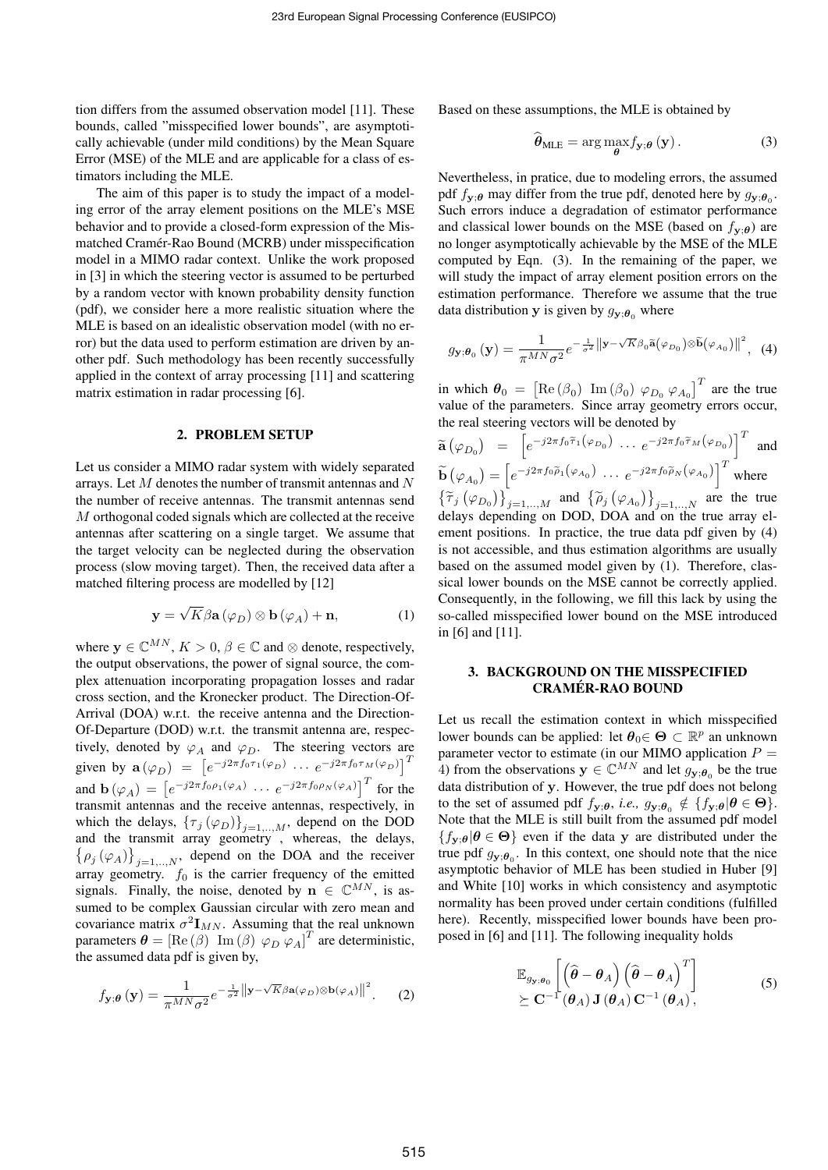tion differs from the assumed observation model [11]. These bounds, called "misspecified lower bounds", are asymptotically achievable (under mild conditions) by the Mean Square Error (MSE) of the MLE and are applicable for a class of estimators including the MLE.

The aim of this paper is to study the impact of a modeling error of the array element positions on the MLE's MSE behavior and to provide a closed-form expression of the Mismatched Cramer-Rao Bound (MCRB) under misspecification ´ model in a MIMO radar context. Unlike the work proposed in [3] in which the steering vector is assumed to be perturbed by a random vector with known probability density function (pdf), we consider here a more realistic situation where the MLE is based on an idealistic observation model (with no error) but the data used to perform estimation are driven by another pdf. Such methodology has been recently successfully applied in the context of array processing [11] and scattering matrix estimation in radar processing [6].

### 2. PROBLEM SETUP

Let us consider a MIMO radar system with widely separated arrays. Let *M* denotes the number of transmit antennas and *N* the number of receive antennas. The transmit antennas send *M* orthogonal coded signals which are collected at the receive antennas after scattering on a single target. We assume that the target velocity can be neglected during the observation process (slow moving target). Then, the received data after a matched filtering process are modelled by [12]

$$
\mathbf{y} = \sqrt{K} \beta \mathbf{a} \left( \varphi_D \right) \otimes \mathbf{b} \left( \varphi_A \right) + \mathbf{n}, \tag{1}
$$

where  $y \in \mathbb{C}^{MN}$ ,  $K > 0$ ,  $\beta \in \mathbb{C}$  and  $\otimes$  denote, respectively, the output observations, the power of signal source, the complex attenuation incorporating propagation losses and radar cross section, and the Kronecker product. The Direction-Of-Arrival (DOA) w.r.t. the receive antenna and the Direction-Of-Departure (DOD) w.r.t. the transmit antenna are, respectively, denoted by  $\varphi_A$  and  $\varphi_D$ . The steering vectors are given by  $\mathbf{a}(\varphi_D) = [e^{-j2\pi f_0 \tau_1(\varphi_D)} \cdots e^{-j2\pi f_0 \tau_M(\varphi_D)}]^T$ and  $\mathbf{b}(\varphi_A) = \left[e^{-j2\pi f_0 \rho_1(\varphi_A)} \cdots e^{-j2\pi f_0 \rho_N(\varphi_A)}\right]^T$  for the transmit antennas and the receive antennas, respectively, in which the delays,  $\{\tau_j(\varphi_D)\}_{j=1,\dots,M}$ , depend on the DOD and the transmit array geometry , whereas, the delays,  $\left\{\rho_j(\varphi_A)\right\}_{j=1,..,N}$ , depend on the DOA and the receiver array geometry.  $f_0$  is the carrier frequency of the emitted signals. Finally, the noise, denoted by  $\mathbf{n} \in \mathbb{C}^{MN}$ , is assumed to be complex Gaussian circular with zero mean and covariance matrix  $\sigma^2 \mathbf{I}_{MN}$ . Assuming that the real unknown parameters  $\boldsymbol{\theta} = [\text{Re}(\beta) \text{Im}(\beta) \varphi_D \varphi_A]^T$  are deterministic, the assumed data pdf is given by,

$$
f_{\mathbf{y};\boldsymbol{\theta}}\left(\mathbf{y}\right) = \frac{1}{\pi^{MN}\sigma^2}e^{-\frac{1}{\sigma^2}\left\|\mathbf{y}-\sqrt{K}\beta\mathbf{a}(\varphi_D)\otimes\mathbf{b}(\varphi_A)\right\|^2}.\tag{2}
$$

Based on these assumptions, the MLE is obtained by

$$
\hat{\boldsymbol{\theta}}_{\text{MLE}} = \arg \max_{\boldsymbol{\theta}} f_{\mathbf{y};\boldsymbol{\theta}}\left(\mathbf{y}\right). \tag{3}
$$

Nevertheless, in pratice, due to modeling errors, the assumed pdf  $f_{\mathbf{y};\theta}$  may differ from the true pdf, denoted here by  $g_{\mathbf{y};\theta_0}$ . Such errors induce a degradation of estimator performance and classical lower bounds on the MSE (based on  $f_{\mathbf{v}:\boldsymbol{\theta}}$ ) are no longer asymptotically achievable by the MSE of the MLE computed by Eqn. (3). In the remaining of the paper, we will study the impact of array element position errors on the estimation performance. Therefore we assume that the true data distribution **y** is given by  $g_{\mathbf{y}:\boldsymbol{\theta}_{0}}$  where

$$
g_{\mathbf{y};\boldsymbol{\theta}_{0}}\left(\mathbf{y}\right) = \frac{1}{\pi^{MN}\sigma^{2}}e^{-\frac{1}{\sigma^{2}}\left\|\mathbf{y}-\sqrt{K}\beta_{0}\tilde{\mathbf{a}}\left(\varphi_{D_{0}}\right)\otimes\tilde{\mathbf{b}}\left(\varphi_{A_{0}}\right)\right\|^{2}},\tag{4}
$$

in which  $\theta_0 = \left[ \text{Re} (\beta_0) \text{Im} (\beta_0) \varphi_{D_0} \varphi_{A_0} \right]^T$  are the true value of the parameters. Since array geometry errors occur, the real steering vectors will be denoted by  $T$ 

$$
\tilde{\mathbf{a}}\left(\varphi_{D_0}\right) = \left[e^{-j2\pi f_0\tilde{\tau}_1\left(\varphi_{D_0}\right)} \cdots e^{-j2\pi f_0\tilde{\tau}_M\left(\varphi_{D_0}\right)}\right]^T
$$
 and  
\n
$$
\tilde{\mathbf{b}}\left(\varphi_{A_0}\right) = \left[e^{-j2\pi f_0\tilde{\rho}_1\left(\varphi_{A_0}\right)} \cdots e^{-j2\pi f_0\tilde{\rho}_N\left(\varphi_{A_0}\right)}\right]^T
$$
 where  
\n
$$
\left\{\tilde{\tau}_j\left(\varphi_{D_0}\right)\right\}_{j=1,\dots,M}
$$
 and 
$$
\left\{\tilde{\rho}_j\left(\varphi_{A_0}\right)\right\}_{j=1,\dots,N}
$$
 are the true  
\ndelays depending on DOD, DOA and on the true array el-  
\nement positions. In practice, the true data pdf given by (4)  
\nis not accessible, and thus estimation algorithms are usually  
\nbased on the assumed model given by (1). Therefore, clas-  
\nsical lower bounds on the MSE cannot be correctly applied.  
\nConsequently, in the following, we fill this lack by using the  
\nso-called misspecified lower bound on the MSE introduced  
\nin [6] and [11].

### 3. BACKGROUND ON THE MISSPECIFIED CRAMER-RAO BOUND ´

Let us recall the estimation context in which misspecified lower bounds can be applied: let  $\theta_0 \in \Theta \subset \mathbb{R}^p$  an unknown parameter vector to estimate (in our MIMO application  $P =$ 4) from the observations  $y \in \mathbb{C}^{MN}$  and let  $g_{y;\theta_0}$  be the true data distribution of **y**. However, the true pdf does not belong to the set of assumed pdf  $f_{\mathbf{y};\theta}$ , *i.e.*,  $g_{\mathbf{y};\theta_0} \notin \{f_{\mathbf{y};\theta} | \theta \in \Theta\}$ . Note that the MLE is still built from the assumed pdf model  ${f_{\bf y;\theta}|\theta \in \Theta}$  even if the data **y** are distributed under the true pdf  $g_{\mathbf{y};\theta_0}$ . In this context, one should note that the nice asymptotic behavior of MLE has been studied in Huber [9] and White [10] works in which consistency and asymptotic normality has been proved under certain conditions (fulfilled here). Recently, misspecified lower bounds have been proposed in [6] and [11]. The following inequality holds

$$
\mathbb{E}_{g_{\mathbf{y}}, \boldsymbol{\theta}_{0}} \left[ \left( \widehat{\boldsymbol{\theta}} - \boldsymbol{\theta}_{A} \right) \left( \widehat{\boldsymbol{\theta}} - \boldsymbol{\theta}_{A} \right)^{T} \right] \qquad (5)
$$
  

$$
\succeq \mathbf{C}^{-1} (\boldsymbol{\theta}_{A}) \mathbf{J} (\boldsymbol{\theta}_{A}) \mathbf{C}^{-1} (\boldsymbol{\theta}_{A}),
$$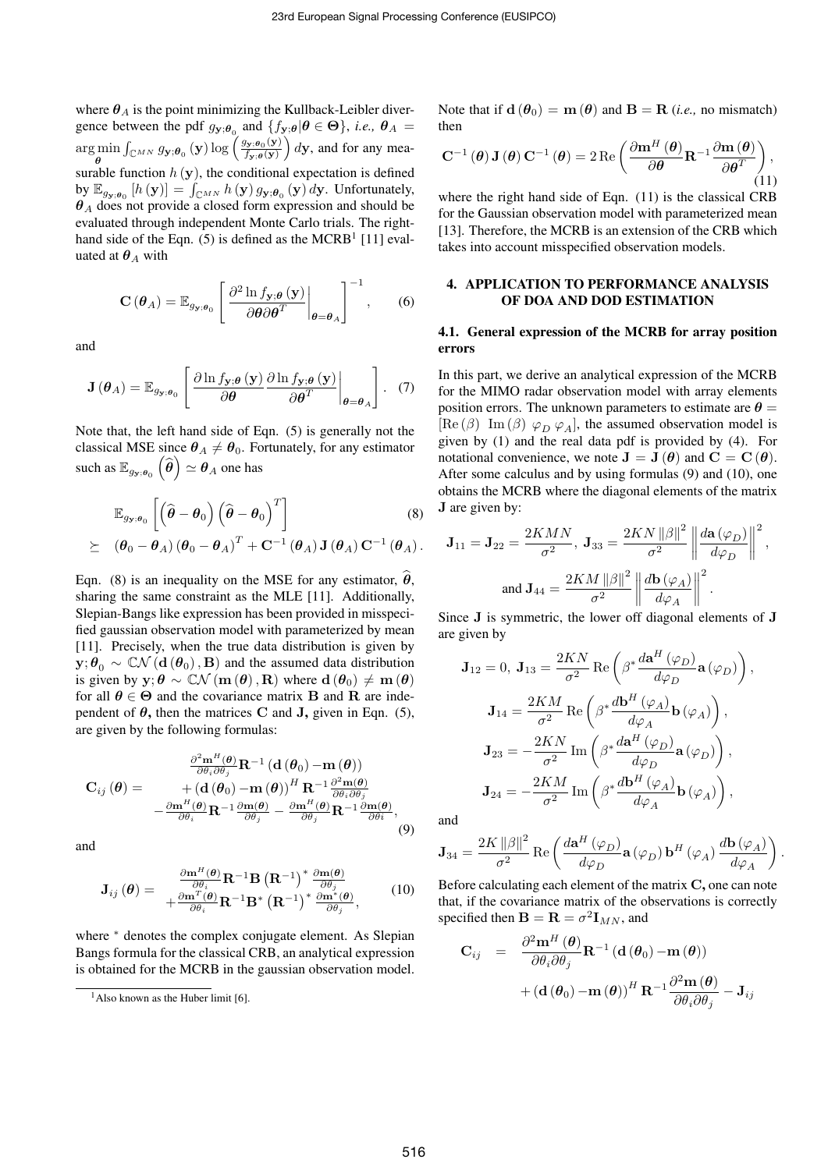where  $\theta_A$  is the point minimizing the Kullback-Leibler divergence between the pdf  $g_{\mathbf{y};\theta_0}$  and  $\{f_{\mathbf{y};\theta} | \theta \in \Theta\}$ , *i.e.*,  $\theta_A =$ arg min *θ*  $\int_{\mathbb{C}^{MN}} g_{\mathbf{y};\boldsymbol{\theta}_0}(\mathbf{y}) \log \left( \frac{g_{\mathbf{y};\boldsymbol{\theta}_0}(\mathbf{y})}{f_{\mathbf{y};\boldsymbol{\theta}}(\mathbf{y})} \right)$  $f_{\mathbf{y};\boldsymbol{\theta}}(\mathbf{y})$  $\int dy$ , and for any measurable function  $h(\mathbf{y})$ , the conditional expectation is defined by  $\mathbb{E}_{g_{\mathbf{y};\theta_0}}[h(\mathbf{y})] = \int_{\mathbb{C}^{MN}} h(\mathbf{y}) g_{\mathbf{y};\theta_0}(\mathbf{y}) d\mathbf{y}$ . Unfortunately, *θ<sup>A</sup>* does not provide a closed form expression and should be evaluated through independent Monte Carlo trials. The righthand side of the Eqn.  $(5)$  is defined as the MCRB<sup>1</sup> [11] evaluated at  $\theta_A$  with

$$
\mathbf{C}\left(\boldsymbol{\theta}_{A}\right) = \mathbb{E}_{g_{\mathbf{y};\boldsymbol{\theta}_{0}}} \left[ \left. \frac{\partial^{2} \ln f_{\mathbf{y};\boldsymbol{\theta}}\left(\mathbf{y}\right)}{\partial \boldsymbol{\theta} \partial \boldsymbol{\theta}^{T}} \right|_{\boldsymbol{\theta} = \boldsymbol{\theta}_{A}} \right]^{-1}, \qquad (6)
$$

and

$$
\mathbf{J}(\boldsymbol{\theta}_A) = \mathbb{E}_{g_{\mathbf{y};\boldsymbol{\theta}_0}} \left[ \left. \frac{\partial \ln f_{\mathbf{y};\boldsymbol{\theta}} \left( \mathbf{y} \right)}{\partial \boldsymbol{\theta}} \frac{\partial \ln f_{\mathbf{y};\boldsymbol{\theta}} \left( \mathbf{y} \right)}{\partial \boldsymbol{\theta}^T} \right|_{\boldsymbol{\theta} = \boldsymbol{\theta}_A} \right]. \quad (7)
$$

Note that, the left hand side of Eqn. (5) is generally not the classical MSE since  $\theta_A \neq \theta_0$ . Fortunately, for any estimator such as  $\mathbb{E}_{g_{\mathbf{y};\boldsymbol{\theta}_0}}\left(\widehat{\boldsymbol{\theta}}\right) \simeq \boldsymbol{\theta}_A$  one has

$$
\mathbb{E}_{g_{\mathbf{y};\boldsymbol{\theta}_0}}\left[\left(\widehat{\boldsymbol{\theta}}-\boldsymbol{\theta}_0\right)\left(\widehat{\boldsymbol{\theta}}-\boldsymbol{\theta}_0\right)^T\right]
$$
\n
$$
\succeq \left(\boldsymbol{\theta}_0-\boldsymbol{\theta}_A\right)\left(\boldsymbol{\theta}_0-\boldsymbol{\theta}_A\right)^T+\mathbf{C}^{-1}\left(\boldsymbol{\theta}_A\right)\mathbf{J}\left(\boldsymbol{\theta}_A\right)\mathbf{C}^{-1}\left(\boldsymbol{\theta}_A\right).
$$
\n(8)

Eqn. (8) is an inequality on the MSE for any estimator,  $\theta$ , sharing the same constraint as the MLE [11]. Additionally, Slepian-Bangs like expression has been provided in misspecified gaussian observation model with parameterized by mean [11]. Precisely, when the true data distribution is given by  $\mathbf{y}; \theta_0 \sim \mathbb{C}\mathcal{N}(\mathbf{d}(\theta_0), \mathbf{B})$  and the assumed data distribution is given by  $y; \theta \sim \mathbb{C}\mathcal{N}$  ( $m(\theta), R$ ) where  $d(\theta_0) \neq m(\theta)$ for all  $\theta \in \Theta$  and the covariance matrix **B** and **R** are independent of  $\theta$ , then the matrices C and J, given in Eqn. (5), are given by the following formulas:

$$
\mathbf{C}_{ij}(\boldsymbol{\theta}) = \frac{\frac{\partial^2 \mathbf{m}^H(\boldsymbol{\theta})}{\partial \theta_i \partial \theta_j} \mathbf{R}^{-1} (\mathbf{d}(\boldsymbol{\theta}_0) - \mathbf{m}(\boldsymbol{\theta}))}{\mathbf{H}^{-1} \frac{\partial^2 \mathbf{m}(\boldsymbol{\theta})}{\partial \theta_i}} - \frac{\left(\mathbf{d}(\boldsymbol{\theta}_0) - \mathbf{m}(\boldsymbol{\theta})\right)^H \mathbf{R}^{-1} \frac{\partial^2 \mathbf{m}(\boldsymbol{\theta})}{\partial \theta_i \partial \theta_j}}{-\frac{\partial \mathbf{m}^H(\boldsymbol{\theta})}{\partial \theta_i} \mathbf{R}^{-1} \frac{\partial \mathbf{m}(\boldsymbol{\theta})}{\partial \theta_j} - \frac{\partial \mathbf{m}^H(\boldsymbol{\theta})}{\partial \theta_j} \mathbf{R}^{-1} \frac{\partial \mathbf{m}(\boldsymbol{\theta})}{\partial \theta_i}},
$$
\n(9)

and

$$
\mathbf{J}_{ij}(\boldsymbol{\theta}) = \frac{\frac{\partial \mathbf{m}^{H}(\boldsymbol{\theta})}{\partial \theta_{i}} \mathbf{R}^{-1} \mathbf{B} (\mathbf{R}^{-1})^{*} \frac{\partial \mathbf{m}(\boldsymbol{\theta})}{\partial \theta_{j}}}{+\frac{\partial \mathbf{m}^{T}(\boldsymbol{\theta})}{\partial \theta_{i}} \mathbf{R}^{-1} \mathbf{B}^{*} (\mathbf{R}^{-1})^{*} \frac{\partial \mathbf{m}^{*}(\boldsymbol{\theta})}{\partial \theta_{j}}},
$$
(10)

where *\** denotes the complex conjugate element. As Slepian Bangs formula for the classical CRB, an analytical expression is obtained for the MCRB in the gaussian observation model. Note that if  $d(\theta_0) = m(\theta)$  and  $B = R$  (*i.e.*, no mismatch) then

$$
\mathbf{C}^{-1}(\boldsymbol{\theta})\mathbf{J}(\boldsymbol{\theta})\mathbf{C}^{-1}(\boldsymbol{\theta}) = 2 \operatorname{Re} \left( \frac{\partial \mathbf{m}^H(\boldsymbol{\theta})}{\partial \boldsymbol{\theta}} \mathbf{R}^{-1} \frac{\partial \mathbf{m}(\boldsymbol{\theta})}{\partial \boldsymbol{\theta}^T} \right), \tag{11}
$$

where the right hand side of Eqn. (11) is the classical CRB for the Gaussian observation model with parameterized mean [13]. Therefore, the MCRB is an extension of the CRB which takes into account misspecified observation models.

### 4. APPLICATION TO PERFORMANCE ANALYSIS OF DOA AND DOD ESTIMATION

#### 4.1. General expression of the MCRB for array position errors

In this part, we derive an analytical expression of the MCRB for the MIMO radar observation model with array elements position errors. The unknown parameters to estimate are  $\theta =$  $[\text{Re}(\beta) \text{Im}(\beta) \varphi_D \varphi_A]$ , the assumed observation model is given by (1) and the real data pdf is provided by (4). For notational convenience, we note  $J = J(\theta)$  and  $C = C(\theta)$ . After some calculus and by using formulas (9) and (10), one obtains the MCRB where the diagonal elements of the matrix **J** are given by:

$$
\mathbf{J}_{11} = \mathbf{J}_{22} = \frac{2KMN}{\sigma^2}, \ \mathbf{J}_{33} = \frac{2KN \left\|\beta\right\|^2}{\sigma^2} \left\| \frac{d\mathbf{a}(\varphi_D)}{d\varphi_D} \right\|^2,
$$
  
and 
$$
\mathbf{J}_{44} = \frac{2KM \left\|\beta\right\|^2}{\sigma^2} \left\| \frac{d\mathbf{b}(\varphi_A)}{d\varphi_A} \right\|^2.
$$

Since **J** is symmetric, the lower off diagonal elements of **J** are given by

$$
\mathbf{J}_{12} = 0, \ \mathbf{J}_{13} = \frac{2KN}{\sigma^2} \operatorname{Re} \left( \beta^* \frac{d\mathbf{a}^H (\varphi_D)}{d\varphi_D} \mathbf{a} (\varphi_D) \right),
$$

$$
\mathbf{J}_{14} = \frac{2KM}{\sigma^2} \operatorname{Re} \left( \beta^* \frac{d\mathbf{b}^H (\varphi_A)}{d\varphi_A} \mathbf{b} (\varphi_A) \right),
$$

$$
\mathbf{J}_{23} = -\frac{2KN}{\sigma^2} \operatorname{Im} \left( \beta^* \frac{d\mathbf{a}^H (\varphi_D)}{d\varphi_D} \mathbf{a} (\varphi_D) \right),
$$

$$
\mathbf{J}_{24} = -\frac{2KM}{\sigma^2} \operatorname{Im} \left( \beta^* \frac{d\mathbf{b}^H (\varphi_A)}{d\varphi_A} \mathbf{b} (\varphi_A) \right),
$$

and

$$
\mathbf{J}_{34}=\frac{2K\left\Vert \beta\right\Vert ^{2}}{\sigma^{2}}\operatorname{Re}\left(\frac{d\mathbf{a}^{H}\left(\varphi_{D}\right)}{d\varphi_{D}}\mathbf{a}\left(\varphi_{D}\right)\mathbf{b}^{H}\left(\varphi_{A}\right)\frac{d\mathbf{b}\left(\varphi_{A}\right)}{d\varphi_{A}}\right).
$$

Before calculating each element of the matrix **C**, one can note that, if the covariance matrix of the observations is correctly specified then  $\mathbf{B} = \mathbf{R} = \sigma^2 \mathbf{I}_{MN}$ , and

$$
\begin{array}{rcl} \mathbf{C}_{ij} & = & \dfrac{\partial^2 \mathbf{m}^H\left(\boldsymbol{\theta}\right)}{\partial \theta_i \partial \theta_j} \mathbf{R}^{-1}\left(\mathbf{d}\left(\boldsymbol{\theta}_0\right)-\mathbf{m}\left(\boldsymbol{\theta}\right)\right) \\ & & + \left(\mathbf{d}\left(\boldsymbol{\theta}_0\right)-\mathbf{m}\left(\boldsymbol{\theta}\right)\right)^H \mathbf{R}^{-1} \dfrac{\partial^2 \mathbf{m}\left(\boldsymbol{\theta}\right)}{\partial \theta_i \partial \theta_j} - \mathbf{J}_{ij} \end{array}
$$

 $<sup>1</sup>$ Also known as the Huber limit [6].</sup>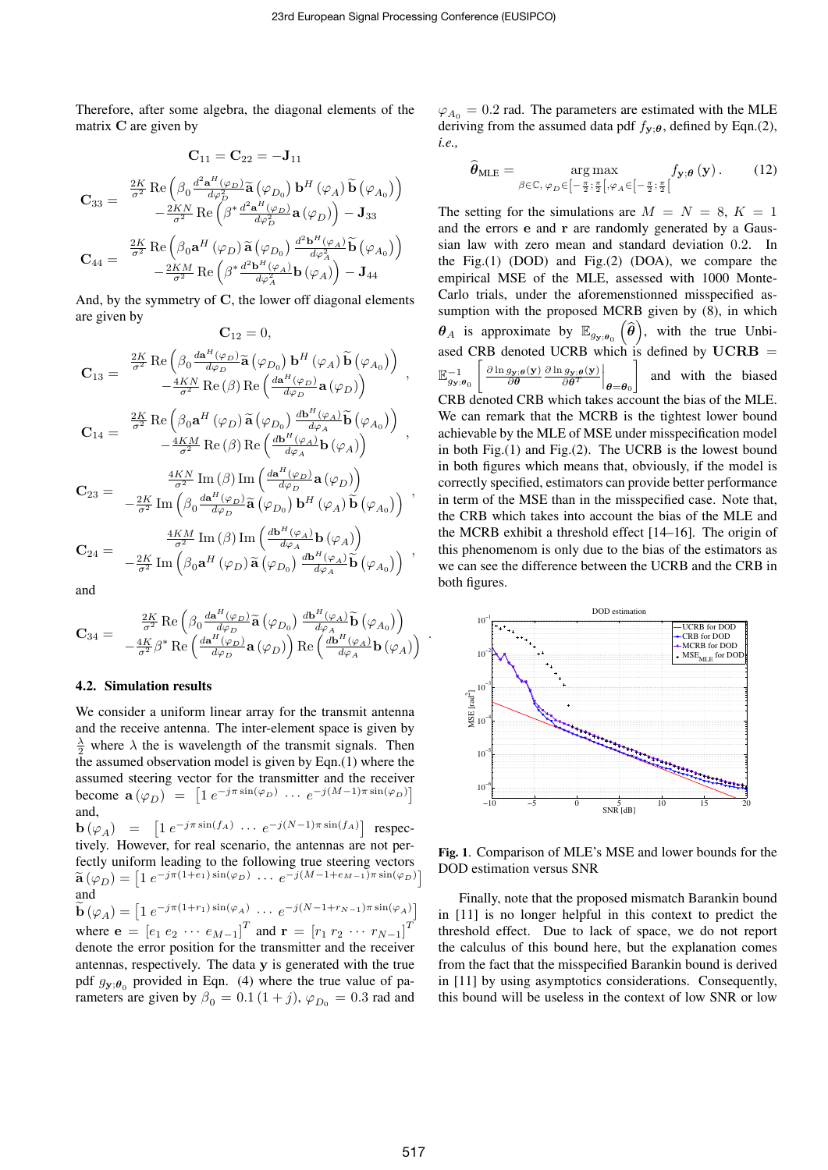Therefore, after some algebra, the diagonal elements of the matrix **C** are given by

$$
\mathbf{C}_{11} = \mathbf{C}_{22} = -\mathbf{J}_{11}
$$
\n
$$
\mathbf{C}_{33} = \begin{bmatrix} \frac{2K}{\sigma^2} \operatorname{Re} \left( \beta_0 \frac{d^2 \mathbf{a}^H (\varphi_D)}{d\varphi_D^2} \tilde{\mathbf{a}} \left( \varphi_{D_0} \right) \mathbf{b}^H (\varphi_A) \tilde{\mathbf{b}} \left( \varphi_{A_0} \right) \right) \\ -\frac{2KN}{\sigma^2} \operatorname{Re} \left( \beta^* \frac{d^2 \mathbf{a}^H (\varphi_D)}{d\varphi_D^2} \mathbf{a} \left( \varphi_D \right) \right) - \mathbf{J}_{33} \end{bmatrix}
$$
\n
$$
\mathbf{C}_{44} = \begin{bmatrix} \frac{2K}{\sigma^2} \operatorname{Re} \left( \beta_0 \mathbf{a}^H (\varphi_D) \tilde{\mathbf{a}} \left( \varphi_{D_0} \right) \frac{d^2 \mathbf{b}^H (\varphi_A)}{d\varphi_A^2} \tilde{\mathbf{b}} \left( \varphi_{A_0} \right) \right) \\ -\frac{2KM}{\sigma^2} \operatorname{Re} \left( \beta^* \frac{d^2 \mathbf{b}^H (\varphi_A)}{d\varphi_A^2} \mathbf{b} \left( \varphi_A \right) \right) - \mathbf{J}_{44} \end{bmatrix}
$$

And, by the symmetry of **C**, the lower off diagonal elements are given by  $C_{12} = 0$ 

$$
\begin{aligned} \mathbf{C}_{13} &= \begin{array}{c} \frac{2K}{\sigma^2} \operatorname{Re}\left( \beta_0 \frac{d \mathbf{a}^H(\varphi_D)}{d \varphi_D} \widetilde{\mathbf{a}}\left(\varphi_{D_0}\right) \mathbf{b}^H\left(\varphi_A\right) \widetilde{\mathbf{b}}\left(\varphi_{A_0}\right) \right) \\ & \quad - \frac{4 K N}{\sigma^2} \operatorname{Re}\left( \beta \right) \operatorname{Re}\left( \frac{d \mathbf{a}^H(\varphi_D)}{d \varphi_D} \mathbf{a}\left(\varphi_D \right) \right) \\ \mathbf{C}_{14} &= \begin{array}{c} \frac{2K}{\sigma^2} \operatorname{Re}\left( \beta_0 \mathbf{a}^H\left(\varphi_D\right) \widetilde{\mathbf{a}}\left(\varphi_{D_0}\right) \frac{d \mathbf{b}^H(\varphi_A)}{d \varphi_A} \widetilde{\mathbf{b}}\left(\varphi_{A_0}\right) \right) \\ & \quad - \frac{4 K M}{\sigma^2} \operatorname{Re}\left( \beta \right) \operatorname{Re}\left( \frac{d \mathbf{b}^H(\varphi_A)}{d \varphi_A} \mathbf{b}\left(\varphi_A\right) \right) \\ & \quad - \frac{4 K N}{\sigma^2} \operatorname{Im}\left( \beta \right) \operatorname{Im}\left( \frac{d \mathbf{a}^H(\varphi_D)}{d \varphi_D} \mathbf{a}\left(\varphi_D \right) \right) \end{array}, \\ \mathbf{C}_{23} &= \begin{array}{c} \frac{4 K N}{\sigma^2} \operatorname{Im}\left( \beta_0 \frac{d \mathbf{a}^H(\varphi_D)}{d \varphi_D} \widetilde{\mathbf{a}}\left(\varphi_{D_0}\right) \mathbf{b}^H\left(\varphi_A\right) \widetilde{\mathbf{b}}\left(\varphi_{A_0}\right) \right) \\ & \quad \frac{4 K M}{\sigma^2} \operatorname{Im}\left( \beta \right) \operatorname{Im}\left( \frac{d \mathbf{b}^H(\varphi_A)}{d \varphi_A} \mathbf{b}\left(\varphi_A \right) \right) \\ \mathbf{C}_{24} &= \begin{array}{c} \frac{4 K M}{\sigma^2} \operatorname{Im}\left( \beta_0 \mathbf{a}
$$

and

$$
\mathbf{C}_{34}=\begin{array}{c} \frac{2K}{\sigma^2}\operatorname{Re}\left(\beta_0\frac{d\mathbf{a}^H(\varphi_D)}{d\varphi_D}\widetilde{\mathbf{a}}\left(\varphi_{D_0}\right)\frac{d\mathbf{b}^H(\varphi_A)}{d\varphi_A}\widetilde{\mathbf{b}}\left(\varphi_{A_0}\right)\right)\\ -\frac{4K}{\sigma^2}\beta^*\operatorname{Re}\left(\frac{d\mathbf{a}^H(\varphi_D)}{d\varphi_D}\mathbf{a}\left(\varphi_D\right)\right)\operatorname{Re}\left(\frac{d\mathbf{b}^H(\varphi_A)}{d\varphi_A}\mathbf{b}\left(\varphi_A\right)\right)\end{array}.
$$

#### 4.2. Simulation results

We consider a uniform linear array for the transmit antenna and the receive antenna. The inter-element space is given by  $\frac{\lambda}{2}$  where  $\lambda$  the is wavelength of the transmit signals. Then the assumed observation model is given by Eqn.(1) where the assumed steering vector for the transmitter and the receiver become  $\mathbf{a}(\varphi_D) = \left[1 e^{-j\pi \sin(\varphi_D)} \cdots e^{-j(M-1)\pi \sin(\varphi_D)}\right]$ and,

**b**  $(\varphi_A) = [1 \ e^{-j\pi \sin(f_A)} \ \cdots \ e^{-j(N-1)\pi \sin(f_A)}]$  respectively. However, for real scenario, the antennas are not perfectly uniform leading to the following true steering vectors  $\widetilde{\mathbf{a}}(\varphi_D) = \left[1 e^{-j\pi(1+\epsilon_1)\sin(\varphi_D)} \cdots e^{-j(M-1+\epsilon_{M-1})\pi \sin(\varphi_D)}\right]$ and  $\widetilde{\mathbf{b}}(\varphi_A) = \left[1 e^{-j\pi(1+r_1)\sin(\varphi_A)} \cdots e^{-j(N-1+r_{N-1})\pi \sin(\varphi_A)}\right]$ 

where  $e = [e_1 \, e_2 \, \cdots \, e_{M-1}]^T$  and  $\mathbf{r} = [r_1 \, r_2 \, \cdots \, r_{N-1}]^T$ denote the error position for the transmitter and the receiver antennas, respectively. The data **y** is generated with the true pdf  $g_{\mathbf{y};\theta_0}$  provided in Eqn. (4) where the true value of parameters are given by  $\beta_0 = 0.1 (1 + j)$ ,  $\varphi_{D_0} = 0.3$  rad and

 $\varphi_{A_0} = 0.2$  rad. The parameters are estimated with the MLE deriving from the assumed data pdf  $f_{\mathbf{y};\theta}$ , defined by Eqn.(2), *i.e.,*

$$
\widehat{\boldsymbol{\theta}}_{MLE} = \operatorname*{arg\,max}_{\beta \in \mathbb{C}, \, \varphi_D \in \left[-\frac{\pi}{2}; \frac{\pi}{2}\right[, \varphi_A \in \left[-\frac{\pi}{2}; \frac{\pi}{2}\right[} \int_{\mathbf{y}; \boldsymbol{\theta}} (\mathbf{y}). \tag{12}
$$

The setting for the simulations are  $M = N = 8, K = 1$ and the errors **e** and **r** are randomly generated by a Gaussian law with zero mean and standard deviation 0*.*2. In the Fig. $(1)$  (DOD) and Fig. $(2)$  (DOA), we compare the empirical MSE of the MLE, assessed with 1000 Monte-Carlo trials, under the aforemenstionned misspecified assumption with the proposed MCRB given by (8), in which  $\theta_A$  is approximate by  $\mathbb{E}_{g_y;\theta_0}(\widehat{\theta})$ , with the true Unbiased CRB denoted UCRB which is defined by  $UCRB =$  $\mathbb{E}_{g_{\mathbf{y};\boldsymbol{\theta}_0}}^{-1}$  $\int$   $\frac{\partial \ln g_{\mathbf{y};\boldsymbol{\theta}}(\mathbf{y})}{\partial \boldsymbol{\theta}} \frac{\partial \ln g_{\mathbf{y};\boldsymbol{\theta}}(\mathbf{y})}{\partial \boldsymbol{\theta}^T}$  $\frac{g_{\mathbf{y};\boldsymbol{\theta}}(\mathbf{y})}{\partial \boldsymbol{\theta}^T} \bigg|_{\boldsymbol{\theta} = \boldsymbol{\theta}_0}$ ] and with the biased CRB denoted CRB which takes account the bias of the MLE. We can remark that the MCRB is the tightest lower bound achievable by the MLE of MSE under misspecification model in both Fig.(1) and Fig.(2). The UCRB is the lowest bound in both figures which means that, obviously, if the model is correctly specified, estimators can provide better performance in term of the MSE than in the misspecified case. Note that, the CRB which takes into account the bias of the MLE and the MCRB exhibit a threshold effect [14–16]. The origin of this phenomenom is only due to the bias of the estimators as we can see the difference between the UCRB and the CRB in both figures.



Fig. 1. Comparison of MLE's MSE and lower bounds for the DOD estimation versus SNR

Finally, note that the proposed mismatch Barankin bound in [11] is no longer helpful in this context to predict the threshold effect. Due to lack of space, we do not report the calculus of this bound here, but the explanation comes from the fact that the misspecified Barankin bound is derived in [11] by using asymptotics considerations. Consequently, this bound will be useless in the context of low SNR or low